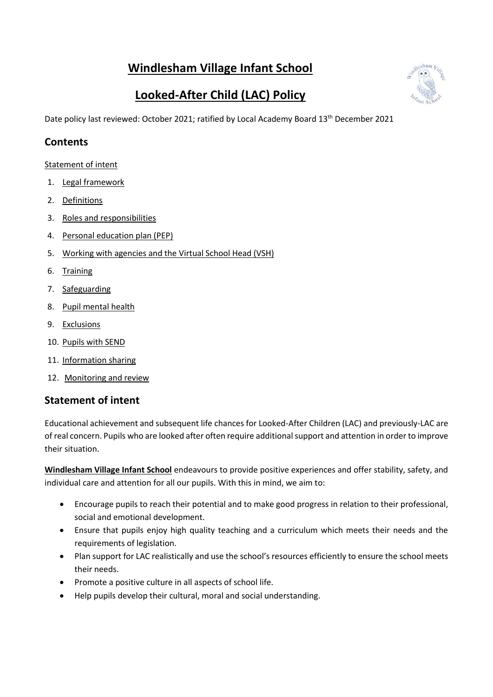# **Windlesham Village Infant School**



# **Looked-After Child (LAC) Policy**

Date policy last reviewed: October 2021; ratified by Local Academy Board 13<sup>th</sup> December 2021

#### **Contents**

[Statement of intent](#page-0-0)

- 1. [Legal framework](#page-1-0)
- 2. [Definitions](#page-1-1)
- 3. [Roles and responsibilities](#page-2-0)
- 4. [Personal education plan \(PEP\)](#page-4-0)
- 5. [Working with agencies and the Virtual School Head \(VSH\)](#page-5-0)
- 6. [Training](#page-5-1)
- 7. [Safeguarding](#page-6-0)
- 8. [Pupil mental health](#page-6-1)
- 9. [Exclusions](#page-7-0)
- 10. [Pupils with SEND](#page-7-1)
- 11. [Information sharing](#page-7-2)
- 12. [Monitoring and review](#page-8-0)

#### <span id="page-0-0"></span>**Statement of intent**

Educational achievement and subsequent life chances for Looked-After Children (LAC) and previously-LAC are of real concern. Pupils who are looked after often require additional support and attention in order to improve their situation.

**Windlesham Village Infant School** endeavours to provide positive experiences and offer stability, safety, and individual care and attention for all our pupils. With this in mind, we aim to:

- Encourage pupils to reach their potential and to make good progress in relation to their professional, social and emotional development.
- Ensure that pupils enjoy high quality teaching and a curriculum which meets their needs and the requirements of legislation.
- Plan support for LAC realistically and use the school's resources efficiently to ensure the school meets their needs.
- Promote a positive culture in all aspects of school life.
- Help pupils develop their cultural, moral and social understanding.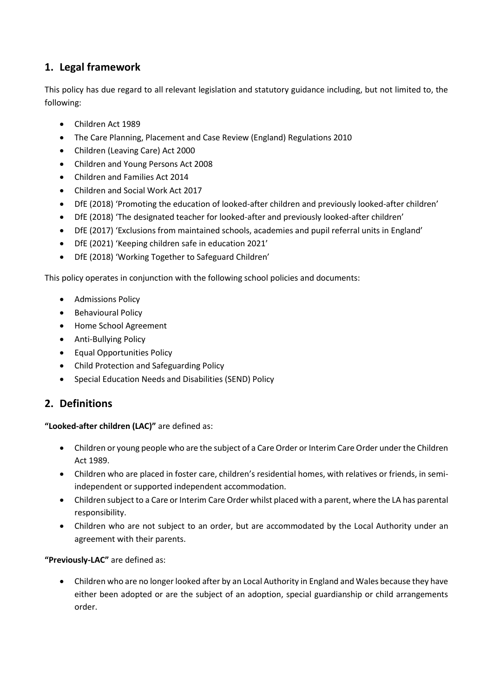# <span id="page-1-0"></span>**1. Legal framework**

This policy has due regard to all relevant legislation and statutory guidance including, but not limited to, the following:

- Children Act 1989
- The Care Planning, Placement and Case Review (England) Regulations 2010
- Children (Leaving Care) Act 2000
- Children and Young Persons Act 2008
- Children and Families Act 2014
- Children and Social Work Act 2017
- DfE (2018) 'Promoting the education of looked-after children and previously looked-after children'
- DfE (2018) 'The designated teacher for looked-after and previously looked-after children'
- DfE (2017) 'Exclusions from maintained schools, academies and pupil referral units in England'
- DfE (2021) 'Keeping children safe in education 2021'
- DfE (2018) 'Working Together to Safeguard Children'

This policy operates in conjunction with the following school policies and documents:

- Admissions Policy
- Behavioural Policy
- Home School Agreement
- Anti-Bullying Policy
- Equal Opportunities Policy
- Child Protection and Safeguarding Policy
- Special Education Needs and Disabilities (SEND) Policy

#### <span id="page-1-1"></span>**2. Definitions**

**"Looked-after children (LAC)"** are defined as:

- Children or young people who are the subject of a Care Order or Interim Care Order under the Children Act 1989.
- Children who are placed in foster care, children's residential homes, with relatives or friends, in semiindependent or supported independent accommodation.
- Children subject to a Care or Interim Care Order whilst placed with a parent, where the LA has parental responsibility.
- Children who are not subject to an order, but are accommodated by the Local Authority under an agreement with their parents.

#### **"Previously-LAC"** are defined as:

 Children who are no longer looked after by an Local Authority in England and Wales because they have either been adopted or are the subject of an adoption, special guardianship or child arrangements order.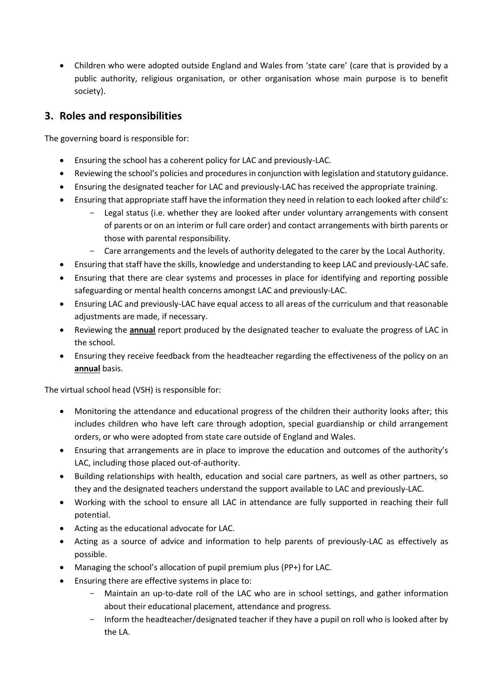• Children who were adopted outside England and Wales from 'state care' (care that is provided by a public authority, religious organisation, or other organisation whose main purpose is to benefit society).

### <span id="page-2-0"></span>**3. Roles and responsibilities**

The governing board is responsible for:

- Ensuring the school has a coherent policy for LAC and previously-LAC.
- Reviewing the school's policies and procedures in conjunction with legislation and statutory guidance.
- Ensuring the designated teacher for LAC and previously-LAC has received the appropriate training.
- Ensuring that appropriate staff have the information they need in relation to each looked after child's:
	- Legal status (i.e. whether they are looked after under voluntary arrangements with consent of parents or on an interim or full care order) and contact arrangements with birth parents or those with parental responsibility.
	- Care arrangements and the levels of authority delegated to the carer by the Local Authority.
- Ensuring that staff have the skills, knowledge and understanding to keep LAC and previously-LAC safe.
- Ensuring that there are clear systems and processes in place for identifying and reporting possible safeguarding or mental health concerns amongst LAC and previously-LAC.
- Ensuring LAC and previously-LAC have equal access to all areas of the curriculum and that reasonable adjustments are made, if necessary.
- Reviewing the **annual** report produced by the designated teacher to evaluate the progress of LAC in the school.
- Ensuring they receive feedback from the headteacher regarding the effectiveness of the policy on an **annual** basis.

The virtual school head (VSH) is responsible for:

- Monitoring the attendance and educational progress of the children their authority looks after; this includes children who have left care through adoption, special guardianship or child arrangement orders, or who were adopted from state care outside of England and Wales.
- Ensuring that arrangements are in place to improve the education and outcomes of the authority's LAC, including those placed out-of-authority.
- Building relationships with health, education and social care partners, as well as other partners, so they and the designated teachers understand the support available to LAC and previously-LAC.
- Working with the school to ensure all LAC in attendance are fully supported in reaching their full potential.
- Acting as the educational advocate for LAC.
- Acting as a source of advice and information to help parents of previously-LAC as effectively as possible.
- Managing the school's allocation of pupil premium plus (PP+) for LAC.
- Ensuring there are effective systems in place to:
	- Maintain an up-to-date roll of the LAC who are in school settings, and gather information about their educational placement, attendance and progress.
	- Inform the headteacher/designated teacher if they have a pupil on roll who is looked after by the LA.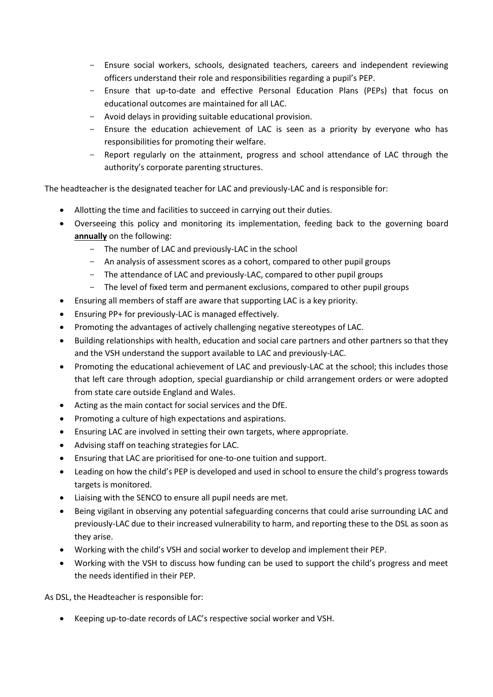- Ensure social workers, schools, designated teachers, careers and independent reviewing officers understand their role and responsibilities regarding a pupil's PEP.
- Ensure that up-to-date and effective Personal Education Plans (PEPs) that focus on educational outcomes are maintained for all LAC.
- Avoid delays in providing suitable educational provision.
- Ensure the education achievement of LAC is seen as a priority by everyone who has responsibilities for promoting their welfare.
- Report regularly on the attainment, progress and school attendance of LAC through the authority's corporate parenting structures.

The headteacher is the designated teacher for LAC and previously-LAC and is responsible for:

- Allotting the time and facilities to succeed in carrying out their duties.
- Overseeing this policy and monitoring its implementation, feeding back to the governing board **annually** on the following:
	- The number of LAC and previously-LAC in the school
	- An analysis of assessment scores as a cohort, compared to other pupil groups
	- The attendance of LAC and previously-LAC, compared to other pupil groups
	- The level of fixed term and permanent exclusions, compared to other pupil groups
- Ensuring all members of staff are aware that supporting LAC is a key priority.
- Ensuring PP+ for previously-LAC is managed effectively.
- Promoting the advantages of actively challenging negative stereotypes of LAC.
- Building relationships with health, education and social care partners and other partners so that they and the VSH understand the support available to LAC and previously-LAC.
- Promoting the educational achievement of LAC and previously-LAC at the school; this includes those that left care through adoption, special guardianship or child arrangement orders or were adopted from state care outside England and Wales.
- Acting as the main contact for social services and the DfE.
- Promoting a culture of high expectations and aspirations.
- Ensuring LAC are involved in setting their own targets, where appropriate.
- Advising staff on teaching strategies for LAC.
- Ensuring that LAC are prioritised for one-to-one tuition and support.
- Leading on how the child's PEP is developed and used in school to ensure the child's progress towards targets is monitored.
- Liaising with the SENCO to ensure all pupil needs are met.
- Being vigilant in observing any potential safeguarding concerns that could arise surrounding LAC and previously-LAC due to their increased vulnerability to harm, and reporting these to the DSL as soon as they arise.
- Working with the child's VSH and social worker to develop and implement their PEP.
- Working with the VSH to discuss how funding can be used to support the child's progress and meet the needs identified in their PEP.

As DSL, the Headteacher is responsible for:

Keeping up-to-date records of LAC's respective social worker and VSH.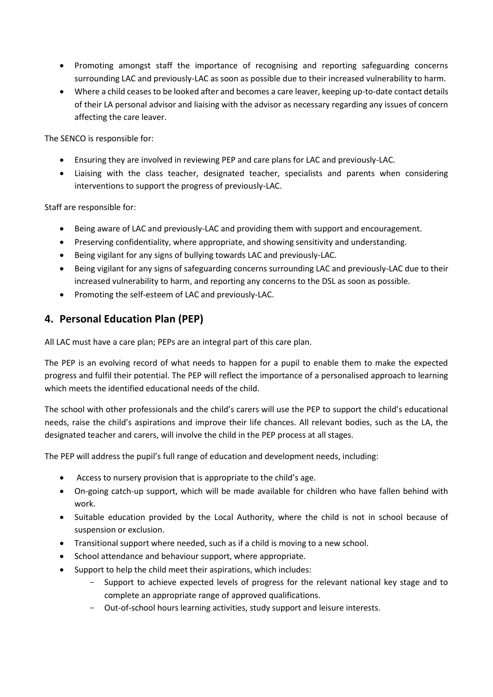- Promoting amongst staff the importance of recognising and reporting safeguarding concerns surrounding LAC and previously-LAC as soon as possible due to their increased vulnerability to harm.
- Where a child ceases to be looked after and becomes a care leaver, keeping up-to-date contact details of their LA personal advisor and liaising with the advisor as necessary regarding any issues of concern affecting the care leaver.

The SENCO is responsible for:

- Ensuring they are involved in reviewing PEP and care plans for LAC and previously-LAC.
- Liaising with the class teacher, designated teacher, specialists and parents when considering interventions to support the progress of previously-LAC.

Staff are responsible for:

- Being aware of LAC and previously-LAC and providing them with support and encouragement.
- Preserving confidentiality, where appropriate, and showing sensitivity and understanding.
- Being vigilant for any signs of bullying towards LAC and previously-LAC.
- Being vigilant for any signs of safeguarding concerns surrounding LAC and previously-LAC due to their increased vulnerability to harm, and reporting any concerns to the DSL as soon as possible.
- Promoting the self-esteem of LAC and previously-LAC.

### <span id="page-4-0"></span>**4. Personal Education Plan (PEP)**

All LAC must have a care plan; PEPs are an integral part of this care plan.

The PEP is an evolving record of what needs to happen for a pupil to enable them to make the expected progress and fulfil their potential. The PEP will reflect the importance of a personalised approach to learning which meets the identified educational needs of the child.

The school with other professionals and the child's carers will use the PEP to support the child's educational needs, raise the child's aspirations and improve their life chances. All relevant bodies, such as the LA, the designated teacher and carers, will involve the child in the PEP process at all stages.

The PEP will address the pupil's full range of education and development needs, including:

- Access to nursery provision that is appropriate to the child's age.
- On-going catch-up support, which will be made available for children who have fallen behind with work.
- Suitable education provided by the Local Authority, where the child is not in school because of suspension or exclusion.
- Transitional support where needed, such as if a child is moving to a new school.
- School attendance and behaviour support, where appropriate.
- Support to help the child meet their aspirations, which includes:
	- Support to achieve expected levels of progress for the relevant national key stage and to complete an appropriate range of approved qualifications.
	- Out-of-school hours learning activities, study support and leisure interests.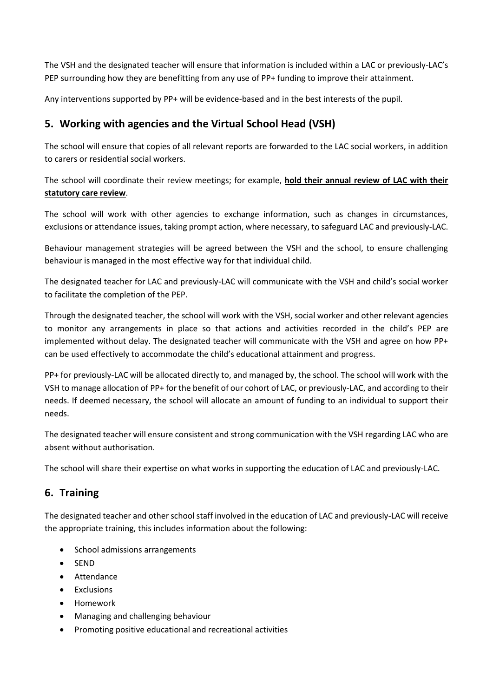The VSH and the designated teacher will ensure that information is included within a LAC or previously-LAC's PEP surrounding how they are benefitting from any use of PP+ funding to improve their attainment.

Any interventions supported by PP+ will be evidence-based and in the best interests of the pupil.

# <span id="page-5-0"></span>**5. Working with agencies and the Virtual School Head (VSH)**

The school will ensure that copies of all relevant reports are forwarded to the LAC social workers, in addition to carers or residential social workers.

The school will coordinate their review meetings; for example, **hold their annual review of LAC with their statutory care review**.

The school will work with other agencies to exchange information, such as changes in circumstances, exclusions or attendance issues, taking prompt action, where necessary, to safeguard LAC and previously-LAC.

Behaviour management strategies will be agreed between the VSH and the school, to ensure challenging behaviour is managed in the most effective way for that individual child.

The designated teacher for LAC and previously-LAC will communicate with the VSH and child's social worker to facilitate the completion of the PEP.

Through the designated teacher, the school will work with the VSH, social worker and other relevant agencies to monitor any arrangements in place so that actions and activities recorded in the child's PEP are implemented without delay. The designated teacher will communicate with the VSH and agree on how PP+ can be used effectively to accommodate the child's educational attainment and progress.

PP+ for previously-LAC will be allocated directly to, and managed by, the school. The school will work with the VSH to manage allocation of PP+ for the benefit of our cohort of LAC, or previously-LAC, and according to their needs. If deemed necessary, the school will allocate an amount of funding to an individual to support their needs.

The designated teacher will ensure consistent and strong communication with the VSH regarding LAC who are absent without authorisation.

The school will share their expertise on what works in supporting the education of LAC and previously-LAC.

# <span id="page-5-1"></span>**6. Training**

The designated teacher and other school staff involved in the education of LAC and previously-LAC will receive the appropriate training, this includes information about the following:

- School admissions arrangements
- SEND
- Attendance
- Exclusions
- Homework
- Managing and challenging behaviour
- Promoting positive educational and recreational activities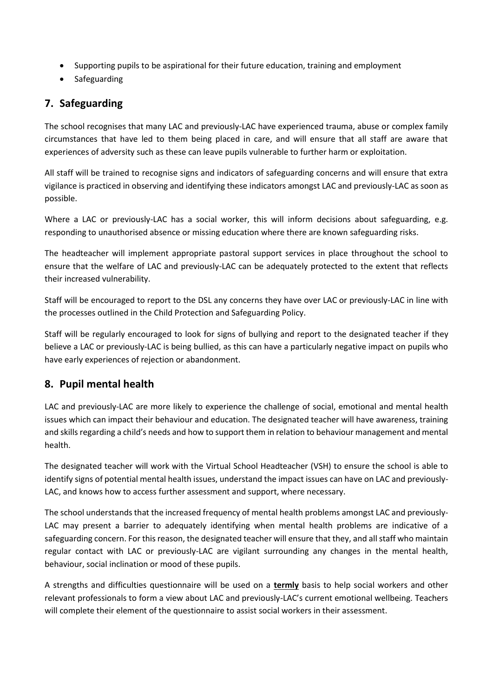- Supporting pupils to be aspirational for their future education, training and employment
- Safeguarding

# <span id="page-6-0"></span>**7. Safeguarding**

The school recognises that many LAC and previously-LAC have experienced trauma, abuse or complex family circumstances that have led to them being placed in care, and will ensure that all staff are aware that experiences of adversity such as these can leave pupils vulnerable to further harm or exploitation.

All staff will be trained to recognise signs and indicators of safeguarding concerns and will ensure that extra vigilance is practiced in observing and identifying these indicators amongst LAC and previously-LAC as soon as possible.

Where a LAC or previously-LAC has a social worker, this will inform decisions about safeguarding, e.g. responding to unauthorised absence or missing education where there are known safeguarding risks.

The headteacher will implement appropriate pastoral support services in place throughout the school to ensure that the welfare of LAC and previously-LAC can be adequately protected to the extent that reflects their increased vulnerability.

Staff will be encouraged to report to the DSL any concerns they have over LAC or previously-LAC in line with the processes outlined in the Child Protection and Safeguarding Policy.

Staff will be regularly encouraged to look for signs of bullying and report to the designated teacher if they believe a LAC or previously-LAC is being bullied, as this can have a particularly negative impact on pupils who have early experiences of rejection or abandonment.

# <span id="page-6-1"></span>**8. Pupil mental health**

LAC and previously-LAC are more likely to experience the challenge of social, emotional and mental health issues which can impact their behaviour and education. The designated teacher will have awareness, training and skills regarding a child's needs and how to support them in relation to behaviour management and mental health.

The designated teacher will work with the Virtual School Headteacher (VSH) to ensure the school is able to identify signs of potential mental health issues, understand the impact issues can have on LAC and previously-LAC, and knows how to access further assessment and support, where necessary.

The school understands that the increased frequency of mental health problems amongst LAC and previously-LAC may present a barrier to adequately identifying when mental health problems are indicative of a safeguarding concern. For this reason, the designated teacher will ensure that they, and all staff who maintain regular contact with LAC or previously-LAC are vigilant surrounding any changes in the mental health, behaviour, social inclination or mood of these pupils.

A strengths and difficulties questionnaire will be used on a **termly** basis to help social workers and other relevant professionals to form a view about LAC and previously-LAC's current emotional wellbeing. Teachers will complete their element of the questionnaire to assist social workers in their assessment.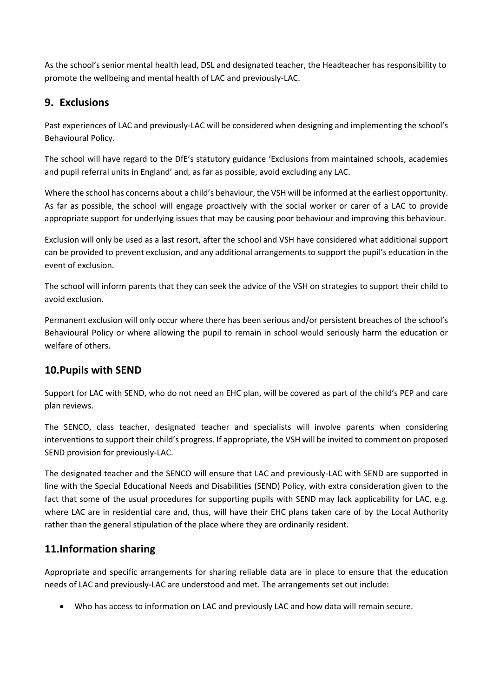As the school's senior mental health lead, DSL and designated teacher, the Headteacher has responsibility to promote the wellbeing and mental health of LAC and previously-LAC.

### <span id="page-7-0"></span>**9. Exclusions**

Past experiences of LAC and previously-LAC will be considered when designing and implementing the school's Behavioural Policy.

The school will have regard to the DfE's statutory guidance 'Exclusions from maintained schools, academies and pupil referral units in England' and, as far as possible, avoid excluding any LAC.

Where the school has concerns about a child's behaviour, the VSH will be informed at the earliest opportunity. As far as possible, the school will engage proactively with the social worker or carer of a LAC to provide appropriate support for underlying issues that may be causing poor behaviour and improving this behaviour.

Exclusion will only be used as a last resort, after the school and VSH have considered what additional support can be provided to prevent exclusion, and any additional arrangements to support the pupil's education in the event of exclusion.

The school will inform parents that they can seek the advice of the VSH on strategies to support their child to avoid exclusion.

Permanent exclusion will only occur where there has been serious and/or persistent breaches of the school's Behavioural Policy or where allowing the pupil to remain in school would seriously harm the education or welfare of others.

# <span id="page-7-1"></span>**10.Pupils with SEND**

Support for LAC with SEND, who do not need an EHC plan, will be covered as part of the child's PEP and care plan reviews.

The SENCO, class teacher, designated teacher and specialists will involve parents when considering interventions to support their child's progress. If appropriate, the VSH will be invited to comment on proposed SEND provision for previously-LAC.

The designated teacher and the SENCO will ensure that LAC and previously-LAC with SEND are supported in line with the Special Educational Needs and Disabilities (SEND) Policy, with extra consideration given to the fact that some of the usual procedures for supporting pupils with SEND may lack applicability for LAC, e.g. where LAC are in residential care and, thus, will have their EHC plans taken care of by the Local Authority rather than the general stipulation of the place where they are ordinarily resident.

# <span id="page-7-2"></span>**11.Information sharing**

Appropriate and specific arrangements for sharing reliable data are in place to ensure that the education needs of LAC and previously-LAC are understood and met. The arrangements set out include:

Who has access to information on LAC and previously LAC and how data will remain secure.